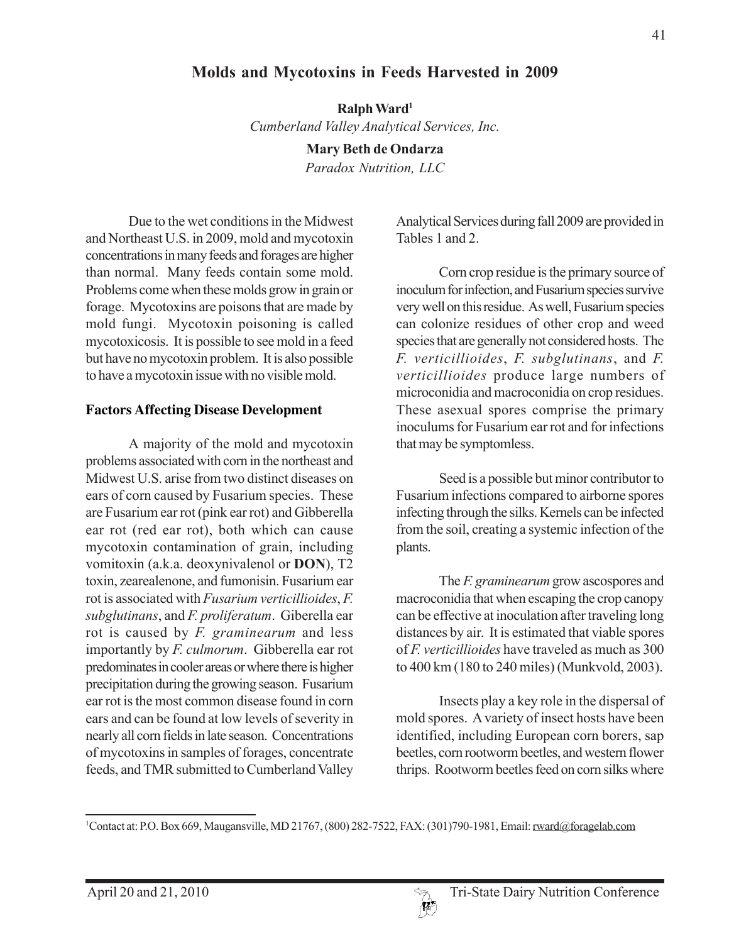# **Molds and Mycotoxins in Feeds Harvested in 2009**

**Ralph Ward1** *Cumberland Valley Analytical Services, Inc.*

> **Mary Beth de Ondarza** *Paradox Nutrition, LLC*

Due to the wet conditions in the Midwest and Northeast U.S. in 2009, mold and mycotoxin concentrations in many feeds and forages are higher than normal. Many feeds contain some mold. Problems come when these molds grow in grain or forage. Mycotoxins are poisons that are made by mold fungi. Mycotoxin poisoning is called mycotoxicosis. It is possible to see mold in a feed but have no mycotoxin problem. It is also possible to have a mycotoxin issue with no visible mold.

#### **Factors Affecting Disease Development**

A majority of the mold and mycotoxin problems associated with corn in the northeast and Midwest U.S. arise from two distinct diseases on ears of corn caused by Fusarium species. These are Fusarium ear rot (pink ear rot) and Gibberella ear rot (red ear rot), both which can cause mycotoxin contamination of grain, including vomitoxin (a.k.a. deoxynivalenol or **DON**), T2 toxin, zearealenone, and fumonisin. Fusarium ear rot is associated with *Fusarium verticillioides*, *F. subglutinans*, and *F. proliferatum*. Giberella ear rot is caused by *F. graminearum* and less importantly by *F. culmorum*. Gibberella ear rot predominates in cooler areas or where there is higher precipitation during the growing season. Fusarium ear rot is the most common disease found in corn ears and can be found at low levels of severity in nearly all corn fields in late season. Concentrations of mycotoxins in samples of forages, concentrate feeds, and TMR submitted to Cumberland Valley

Analytical Services during fall 2009 are provided in Tables 1 and 2.

Corn crop residue is the primary source of inoculum for infection, and Fusarium species survive very well on this residue. As well, Fusarium species can colonize residues of other crop and weed species that are generally not considered hosts. The *F. verticillioides*, *F. subglutinans*, and *F. verticillioides* produce large numbers of microconidia and macroconidia on crop residues. These asexual spores comprise the primary inoculums for Fusarium ear rot and for infections that may be symptomless.

Seed is a possible but minor contributor to Fusarium infections compared to airborne spores infecting through the silks. Kernels can be infected from the soil, creating a systemic infection of the plants.

The *F. graminearum* grow ascospores and macroconidia that when escaping the crop canopy can be effective at inoculation after traveling long distances by air. It is estimated that viable spores of *F. verticillioides* have traveled as much as 300 to 400 km (180 to 240 miles) (Munkvold, 2003).

Insects play a key role in the dispersal of mold spores. A variety of insect hosts have been identified, including European corn borers, sap beetles, corn rootworm beetles, and western flower thrips. Rootworm beetles feed on corn silks where

<sup>&</sup>lt;sup>1</sup>Contact at: P.O. Box 669, Maugansville, MD 21767, (800) 282-7522, FAX: (301) 790-1981, Email: rward@foragelab.com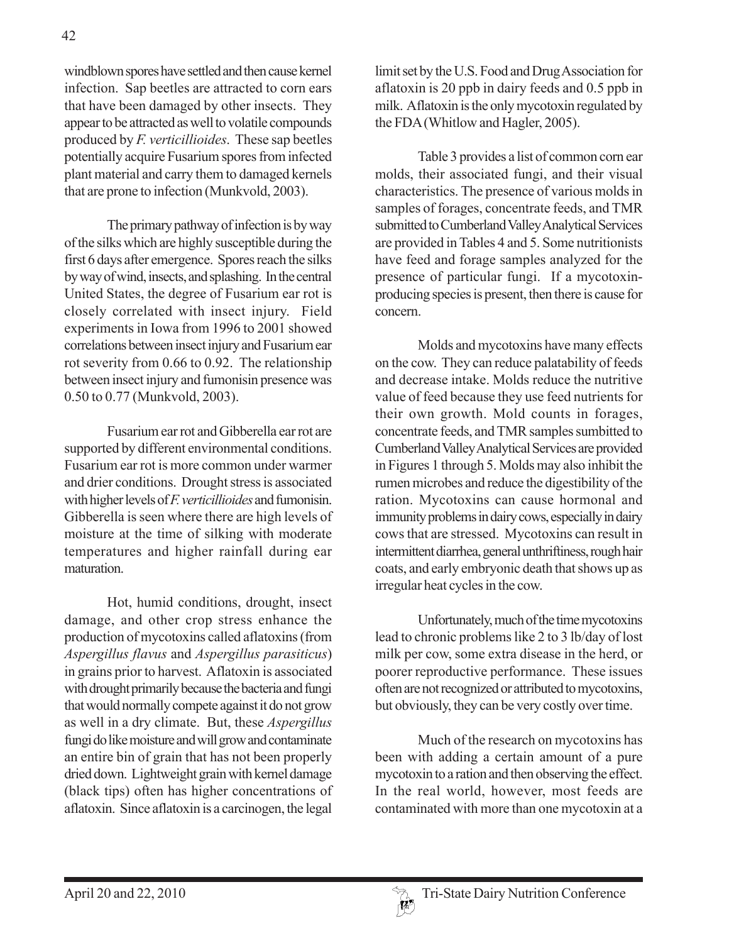windblown spores have settled and then cause kernel infection. Sap beetles are attracted to corn ears that have been damaged by other insects. They appear to be attracted as well to volatile compounds produced by *F. verticillioides*. These sap beetles potentially acquire Fusarium spores from infected plant material and carry them to damaged kernels that are prone to infection (Munkvold, 2003).

The primary pathway of infection is by way of the silks which are highly susceptible during the first 6 days after emergence. Spores reach the silks by way of wind, insects, and splashing. In the central United States, the degree of Fusarium ear rot is closely correlated with insect injury. Field experiments in Iowa from 1996 to 2001 showed correlations between insect injury and Fusarium ear rot severity from 0.66 to 0.92. The relationship between insect injury and fumonisin presence was 0.50 to 0.77 (Munkvold, 2003).

Fusarium ear rot and Gibberella ear rot are supported by different environmental conditions. Fusarium ear rot is more common under warmer and drier conditions. Drought stress is associated with higher levels of *F. verticillioides* and fumonisin. Gibberella is seen where there are high levels of moisture at the time of silking with moderate temperatures and higher rainfall during ear maturation.

Hot, humid conditions, drought, insect damage, and other crop stress enhance the production of mycotoxins called aflatoxins (from *Aspergillus flavus* and *Aspergillus parasiticus*) in grains prior to harvest. Aflatoxin is associated with drought primarily because the bacteria and fungi that would normally compete against it do not grow as well in a dry climate. But, these *Aspergillus* fungi do like moisture and will grow and contaminate an entire bin of grain that has not been properly dried down. Lightweight grain with kernel damage (black tips) often has higher concentrations of aflatoxin. Since aflatoxin is a carcinogen, the legal

limit set by the U.S. Food and Drug Association for aflatoxin is 20 ppb in dairy feeds and 0.5 ppb in milk. Aflatoxin is the only mycotoxin regulated by the FDA (Whitlow and Hagler, 2005).

Table 3 provides a list of common corn ear molds, their associated fungi, and their visual characteristics. The presence of various molds in samples of forages, concentrate feeds, and TMR submitted to Cumberland Valley Analytical Services are provided in Tables 4 and 5. Some nutritionists have feed and forage samples analyzed for the presence of particular fungi. If a mycotoxinproducing species is present, then there is cause for concern.

Molds and mycotoxins have many effects on the cow. They can reduce palatability of feeds and decrease intake. Molds reduce the nutritive value of feed because they use feed nutrients for their own growth. Mold counts in forages, concentrate feeds, and TMR samples sumbitted to Cumberland Valley Analytical Services are provided in Figures 1 through 5. Molds may also inhibit the rumen microbes and reduce the digestibility of the ration. Mycotoxins can cause hormonal and immunity problems in dairy cows, especially in dairy cows that are stressed. Mycotoxins can result in intermittent diarrhea, general unthriftiness, rough hair coats, and early embryonic death that shows up as irregular heat cycles in the cow.

Unfortunately, much of the time mycotoxins lead to chronic problems like 2 to 3 lb/day of lost milk per cow, some extra disease in the herd, or poorer reproductive performance. These issues often are not recognized or attributed to mycotoxins, but obviously, they can be very costly over time.

Much of the research on mycotoxins has been with adding a certain amount of a pure mycotoxin to a ration and then observing the effect. In the real world, however, most feeds are contaminated with more than one mycotoxin at a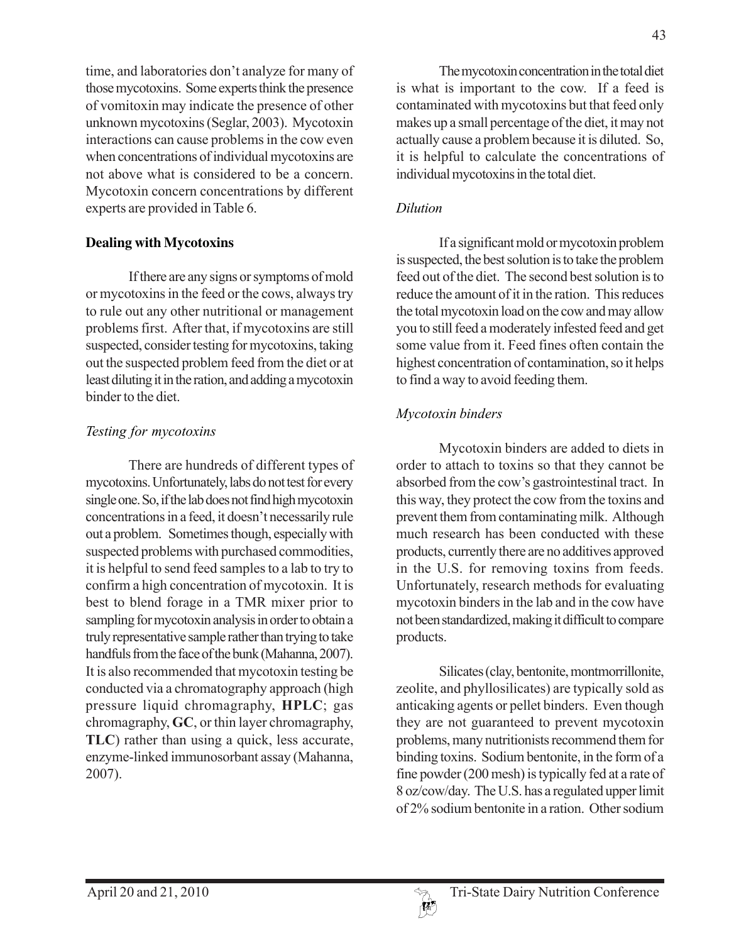time, and laboratories don't analyze for many of those mycotoxins. Some experts think the presence of vomitoxin may indicate the presence of other unknown mycotoxins (Seglar, 2003). Mycotoxin interactions can cause problems in the cow even when concentrations of individual mycotoxins are not above what is considered to be a concern. Mycotoxin concern concentrations by different experts are provided in Table 6.

#### **Dealing with Mycotoxins**

If there are any signs or symptoms of mold or mycotoxins in the feed or the cows, always try to rule out any other nutritional or management problems first. After that, if mycotoxins are still suspected, consider testing for mycotoxins, taking out the suspected problem feed from the diet or at least diluting it in the ration, and adding a mycotoxin binder to the diet.

#### *Testing for mycotoxins*

There are hundreds of different types of mycotoxins. Unfortunately, labs do not test for every single one. So, if the lab does not find high mycotoxin concentrations in a feed, it doesn't necessarily rule out a problem. Sometimes though, especially with suspected problems with purchased commodities, it is helpful to send feed samples to a lab to try to confirm a high concentration of mycotoxin. It is best to blend forage in a TMR mixer prior to sampling for mycotoxin analysis in order to obtain a truly representative sample rather than trying to take handfuls from the face of the bunk (Mahanna, 2007). It is also recommended that mycotoxin testing be conducted via a chromatography approach (high pressure liquid chromagraphy, **HPLC**; gas chromagraphy, **GC**, or thin layer chromagraphy, **TLC**) rather than using a quick, less accurate, enzyme-linked immunosorbant assay (Mahanna, 2007).

The mycotoxin concentration in the total diet is what is important to the cow. If a feed is contaminated with mycotoxins but that feed only makes up a small percentage of the diet, it may not actually cause a problem because it is diluted. So, it is helpful to calculate the concentrations of individual mycotoxins in the total diet.

### *Dilution*

If a significant mold or mycotoxin problem is suspected, the best solution is to take the problem feed out of the diet. The second best solution is to reduce the amount of it in the ration. This reduces the total mycotoxin load on the cow and may allow you to still feed a moderately infested feed and get some value from it. Feed fines often contain the highest concentration of contamination, so it helps to find a way to avoid feeding them.

## *Mycotoxin binders*

Mycotoxin binders are added to diets in order to attach to toxins so that they cannot be absorbed from the cow's gastrointestinal tract. In this way, they protect the cow from the toxins and prevent them from contaminating milk. Although much research has been conducted with these products, currently there are no additives approved in the U.S. for removing toxins from feeds. Unfortunately, research methods for evaluating mycotoxin binders in the lab and in the cow have not been standardized, making it difficult to compare products.

Silicates (clay, bentonite, montmorrillonite, zeolite, and phyllosilicates) are typically sold as anticaking agents or pellet binders. Even though they are not guaranteed to prevent mycotoxin problems, many nutritionists recommend them for binding toxins. Sodium bentonite, in the form of a fine powder (200 mesh) is typically fed at a rate of 8 oz/cow/day. The U.S. has a regulated upper limit of 2% sodium bentonite in a ration. Other sodium

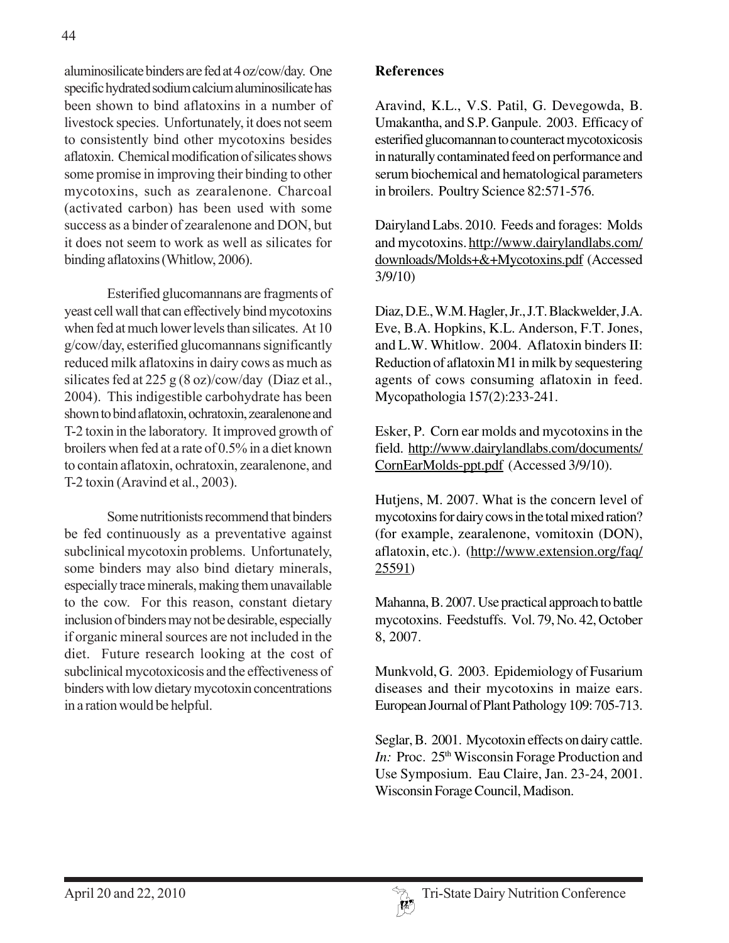aluminosilicate binders are fed at 4 oz/cow/day. One specific hydrated sodium calcium aluminosilicate has been shown to bind aflatoxins in a number of livestock species. Unfortunately, it does not seem to consistently bind other mycotoxins besides aflatoxin. Chemical modification of silicates shows some promise in improving their binding to other mycotoxins, such as zearalenone. Charcoal (activated carbon) has been used with some success as a binder of zearalenone and DON, but it does not seem to work as well as silicates for binding aflatoxins (Whitlow, 2006).

Esterified glucomannans are fragments of yeast cell wall that can effectively bind mycotoxins when fed at much lower levels than silicates. At 10 g/cow/day, esterified glucomannans significantly reduced milk aflatoxins in dairy cows as much as silicates fed at 225 g (8 oz)/cow/day (Diaz et al., 2004). This indigestible carbohydrate has been shown to bind aflatoxin, ochratoxin, zearalenone and T-2 toxin in the laboratory. It improved growth of broilers when fed at a rate of 0.5% in a diet known to contain aflatoxin, ochratoxin, zearalenone, and T-2 toxin (Aravind et al., 2003).

Some nutritionists recommend that binders be fed continuously as a preventative against subclinical mycotoxin problems. Unfortunately, some binders may also bind dietary minerals, especially trace minerals, making them unavailable to the cow. For this reason, constant dietary inclusion of binders may not be desirable, especially if organic mineral sources are not included in the diet. Future research looking at the cost of subclinical mycotoxicosis and the effectiveness of binders with low dietary mycotoxin concentrations in a ration would be helpful.

### **References**

Aravind, K.L., V.S. Patil, G. Devegowda, B. Umakantha, and S.P. Ganpule. 2003. Efficacy of esterified glucomannan to counteract mycotoxicosis in naturally contaminated feed on performance and serum biochemical and hematological parameters in broilers. Poultry Science 82:571-576.

Dairyland Labs. 2010. Feeds and forages: Molds and mycotoxins. http://www.dairylandlabs.com/ downloads/Molds+&+Mycotoxins.pdf (Accessed 3/9/10)

Diaz, D.E., W.M. Hagler, Jr., J.T. Blackwelder, J.A. Eve, B.A. Hopkins, K.L. Anderson, F.T. Jones, and L.W. Whitlow. 2004. Aflatoxin binders II: Reduction of aflatoxin M1 in milk by sequestering agents of cows consuming aflatoxin in feed. Mycopathologia 157(2):233-241.

Esker, P. Corn ear molds and mycotoxins in the field. http://www.dairylandlabs.com/documents/ CornEarMolds-ppt.pdf (Accessed 3/9/10).

Hutjens, M. 2007. What is the concern level of mycotoxins for dairy cows in the total mixed ration? (for example, zearalenone, vomitoxin (DON), aflatoxin, etc.). (http://www.extension.org/faq/ 25591)

Mahanna, B. 2007. Use practical approach to battle mycotoxins. Feedstuffs. Vol. 79, No. 42, October 8, 2007.

Munkvold, G. 2003. Epidemiology of Fusarium diseases and their mycotoxins in maize ears. European Journal of Plant Pathology 109: 705-713.

Seglar, B. 2001. Mycotoxin effects on dairy cattle. *In:* Proc. 25<sup>th</sup> Wisconsin Forage Production and Use Symposium. Eau Claire, Jan. 23-24, 2001. Wisconsin Forage Council, Madison.

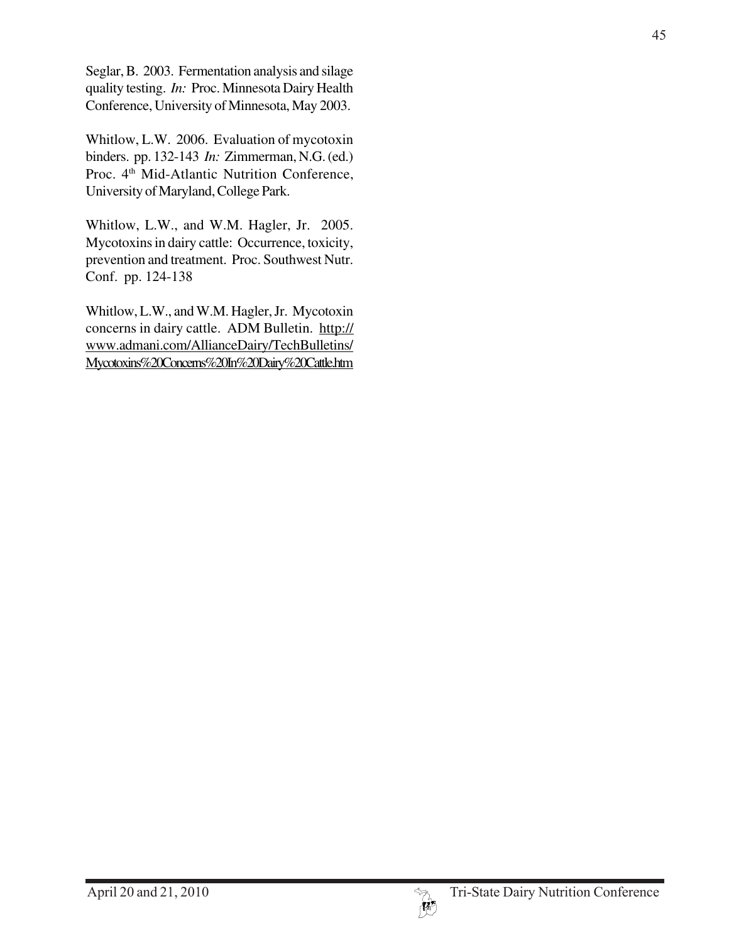Seglar, B. 2003. Fermentation analysis and silage quality testing. *In:* Proc. Minnesota Dairy Health Conference, University of Minnesota, May 2003.

Whitlow, L.W. 2006. Evaluation of mycotoxin binders. pp. 132-143 *In:* Zimmerman, N.G. (ed.) Proc. 4<sup>th</sup> Mid-Atlantic Nutrition Conference, University of Maryland, College Park.

Whitlow, L.W., and W.M. Hagler, Jr. 2005. Mycotoxins in dairy cattle: Occurrence, toxicity, prevention and treatment. Proc. Southwest Nutr. Conf. pp. 124-138

Whitlow, L.W., and W.M. Hagler, Jr. Mycotoxin concerns in dairy cattle. ADM Bulletin. http:// www.admani.com/AllianceDairy/TechBulletins/ Mycotoxins%20Concerns%20In%20Dairy%20Cattle.htm

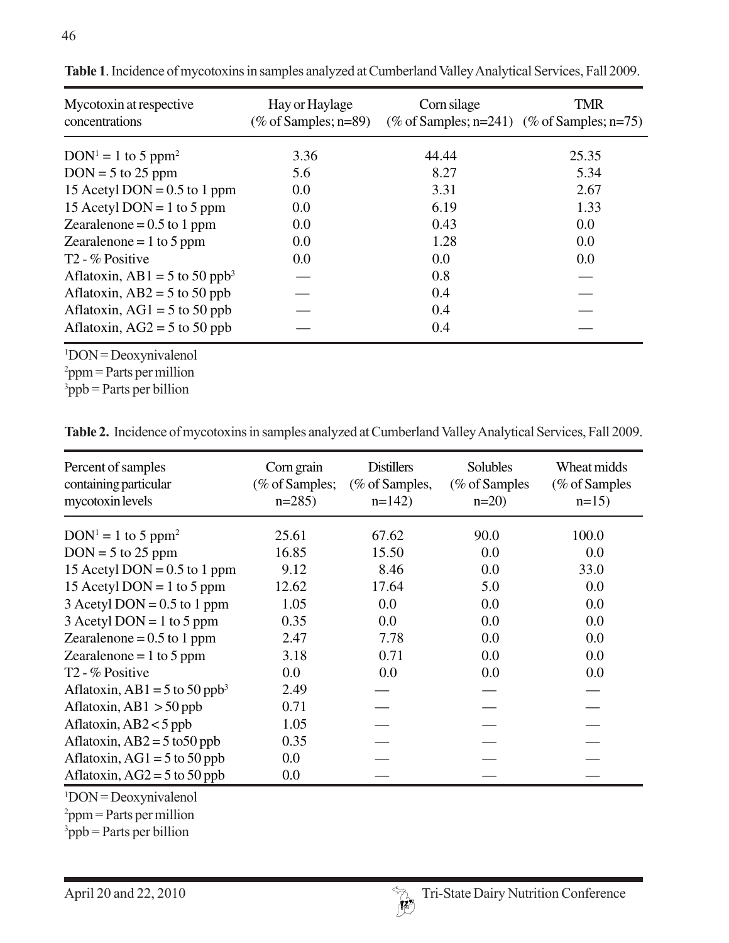| Mycotoxin at respective<br>concentrations | Hay or Haylage<br>(% of Samples; $n=89$ ) | Corn silage<br>(% of Samples; $n=241$ ) (% of Samples; $n=75$ ) | TMR   |  |
|-------------------------------------------|-------------------------------------------|-----------------------------------------------------------------|-------|--|
| $DOM1 = 1$ to 5 ppm <sup>2</sup>          | 3.36                                      | 44.44                                                           | 25.35 |  |
| $DOM = 5$ to 25 ppm                       | 5.6                                       | 8.27                                                            | 5.34  |  |
| 15 Acetyl DON = $0.5$ to 1 ppm            | 0.0                                       | 3.31                                                            | 2.67  |  |
| 15 Acetyl DON = 1 to 5 ppm                | 0.0                                       | 6.19                                                            | 1.33  |  |
| Zearalenone = $0.5$ to 1 ppm              | 0.0                                       | 0.43                                                            | 0.0   |  |
| Zearalenone = $1$ to 5 ppm                | 0.0                                       | 1.28                                                            | 0.0   |  |
| T <sub>2</sub> - % Positive               | 0.0                                       | 0.0                                                             | 0.0   |  |
| Aflatoxin, AB1 = 5 to 50 ppb <sup>3</sup> |                                           | 0.8                                                             |       |  |
| Aflatoxin, $AB2 = 5$ to 50 ppb            |                                           | 0.4                                                             |       |  |
| Aflatoxin, AG1 = $5$ to $50$ ppb          |                                           | 0.4                                                             |       |  |
| Aflatoxin, $AG2 = 5$ to 50 ppb            |                                           | 0.4                                                             |       |  |

**Table 1**. Incidence of mycotoxins in samples analyzed at Cumberland Valley Analytical Services, Fall 2009.

1 DON = Deoxynivalenol

 $p^2$ ppm = Parts per million

 $3$ ppb = Parts per billion

**Table 2.** Incidence of mycotoxins in samples analyzed at Cumberland Valley Analytical Services, Fall 2009.

| Percent of samples<br>containing particular<br>mycotoxin levels | Corn grain<br>(% of Samples;<br>$n=285$ | <b>Distillers</b><br>(% of Samples,<br>$n=142$ | Solubles<br>( $%$ of Samples<br>$n=20$ ) | Wheat midds<br>(% of Samples<br>$n=15$ |
|-----------------------------------------------------------------|-----------------------------------------|------------------------------------------------|------------------------------------------|----------------------------------------|
| $DOM1 = 1$ to 5 ppm <sup>2</sup>                                | 25.61                                   | 67.62                                          | 90.0                                     | 100.0                                  |
| $DOM = 5$ to 25 ppm                                             | 16.85                                   | 15.50                                          | 0.0                                      | 0.0                                    |
| 15 Acetyl DON = $0.5$ to 1 ppm                                  | 9.12                                    | 8.46                                           | 0.0                                      | 33.0                                   |
| 15 Acetyl DON = 1 to 5 ppm                                      | 12.62                                   | 17.64                                          | 5.0                                      | 0.0                                    |
| $3$ Acetyl DON = 0.5 to 1 ppm                                   | 1.05                                    | 0.0                                            | 0.0                                      | 0.0                                    |
| $3$ Acetyl DON = 1 to 5 ppm                                     | 0.35                                    | 0.0                                            | 0.0                                      | 0.0                                    |
| Zearalenone = $0.5$ to 1 ppm                                    | 2.47                                    | 7.78                                           | 0.0                                      | 0.0                                    |
| Zearalenone = $1$ to 5 ppm                                      | 3.18                                    | 0.71                                           | 0.0                                      | 0.0                                    |
| $T2 - %$ Positive                                               | 0.0                                     | 0.0                                            | 0.0                                      | 0.0                                    |
| Aflatoxin, AB1 = 5 to 50 ppb <sup>3</sup>                       | 2.49                                    |                                                |                                          |                                        |
| Aflatoxin, AB1 $>$ 50 ppb                                       | 0.71                                    |                                                |                                          |                                        |
| Aflatoxin, $AB2 < 5$ ppb                                        | 1.05                                    |                                                |                                          |                                        |
| Aflatoxin, $AB2 = 5$ to 50 ppb                                  | 0.35                                    |                                                |                                          |                                        |
| Aflatoxin, $AG1 = 5$ to 50 ppb                                  | 0.0                                     |                                                |                                          |                                        |
| Aflatoxin, $AG2 = 5$ to 50 ppb                                  | 0.0                                     |                                                |                                          |                                        |

1 DON = Deoxynivalenol

 $p^2$ ppm = Parts per million

 $3$ ppb = Parts per billion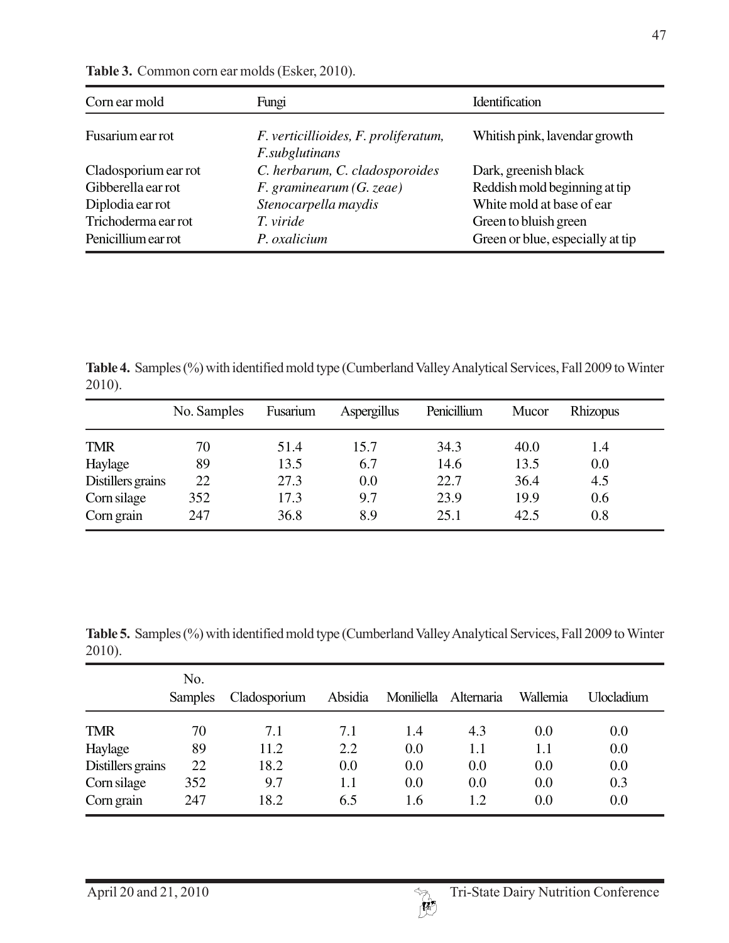| Corn ear mold        | Fungi                                                  | Identification                   |  |
|----------------------|--------------------------------------------------------|----------------------------------|--|
| Fusarium ear rot     | F. verticillioides, F. proliferatum,<br>F.subglutinans | Whitish pink, lavendar growth    |  |
| Cladosporium ear rot | C. herbarum, C. cladosporoides                         | Dark, greenish black             |  |
| Gibberella ear rot   | $F.$ graminearum $(G.$ zeae)                           | Reddish mold beginning at tip    |  |
| Diplodia ear rot     | Stenocarpella maydis                                   | White mold at base of ear        |  |
| Trichoderma ear rot  | T. viride                                              | Green to bluish green            |  |
| Penicillium ear rot  | P. oxalicium                                           | Green or blue, especially at tip |  |

**Table 3.** Common corn ear molds (Esker, 2010).

**Table 4.** Samples (%) with identified mold type (Cumberland Valley Analytical Services, Fall 2009 to Winter 2010).

|                   | No. Samples | Fusarium | Aspergillus | Penicillium | Mucor | Rhizopus |
|-------------------|-------------|----------|-------------|-------------|-------|----------|
| <b>TMR</b>        | 70          | 51.4     | 15.7        | 34.3        | 40.0  | 1.4      |
| Haylage           | 89          | 13.5     | 6.7         | 14.6        | 13.5  | 0.0      |
| Distillers grains | 22          | 27.3     | 0.0         | 22.7        | 36.4  | 4.5      |
| Corn silage       | 352         | 17.3     | 9.7         | 23.9        | 19.9  | 0.6      |
| Corn grain        | 247         | 36.8     | 8.9         | 25.1        | 42.5  | 0.8      |

**Table 5.** Samples (%) with identified mold type (Cumberland Valley Analytical Services, Fall 2009 to Winter 2010).

|                   | No.<br><b>Samples</b> | Cladosporium | Absidia | Moniliella | Alternaria | Wallemia | <b>Ulocladium</b> |
|-------------------|-----------------------|--------------|---------|------------|------------|----------|-------------------|
| <b>TMR</b>        | 70                    | 7.1          | 7.1     | 1.4        | 4.3        | 0.0      | 0.0               |
| Haylage           | 89                    | 11.2         | 2.2     | 0.0        | 1.1        | 1.1      | 0.0               |
| Distillers grains | 22                    | 18.2         | 0.0     | 0.0        | 0.0        | 0.0      | 0.0               |
| Corn silage       | 352                   | 9.7          | 1.1     | 0.0        | 0.0        | 0.0      | 0.3               |
| Corn grain        | 247                   | 18.2         | 6.5     | 1.6        | 1.2        | 0.0      | 0.0               |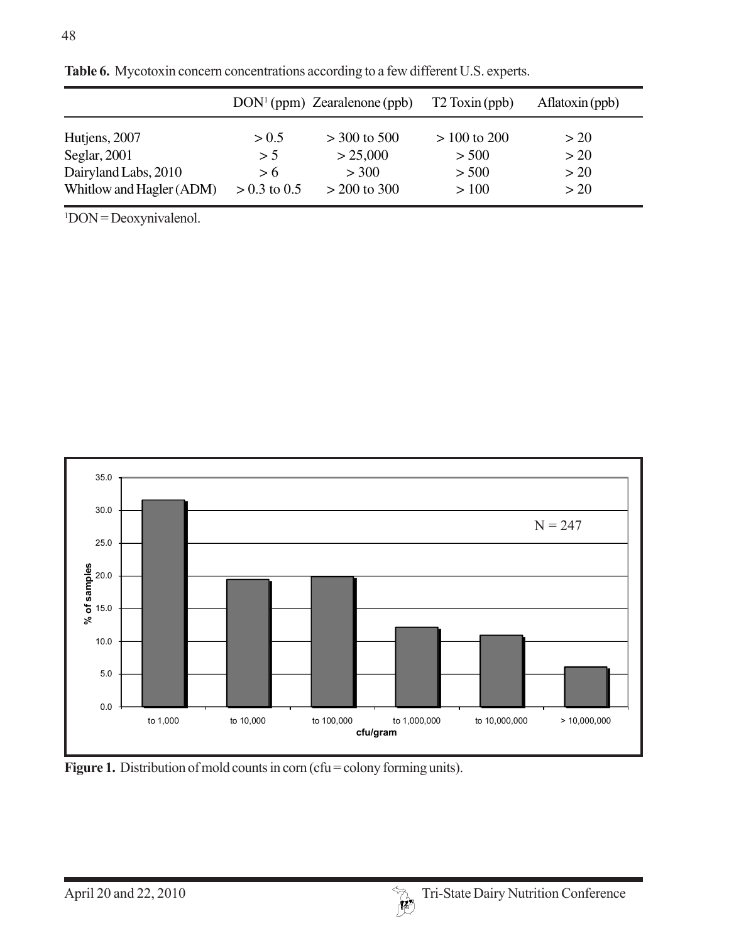|                          |                | $DOM1$ (ppm) Zearalenone (ppb) | T <sub>2</sub> Toxin (ppb) | A <sub>fl</sub> atoxin(ppb) |
|--------------------------|----------------|--------------------------------|----------------------------|-----------------------------|
| Hutjens, 2007            | > 0.5          | $>$ 300 to 500                 | $> 100$ to 200             | > 20                        |
| Seglar, $2001$           | > 5            | > 25,000                       | > 500                      | >20                         |
| Dairyland Labs, 2010     | > 6            | > 300                          | > 500                      | >20                         |
| Whitlow and Hagler (ADM) | $> 0.3$ to 0.5 | $> 200$ to 300                 | >100                       | >20                         |

**Table 6.** Mycotoxin concern concentrations according to a few different U.S. experts.

1 DON = Deoxynivalenol.



Figure 1. Distribution of mold counts in corn (cfu = colony forming units).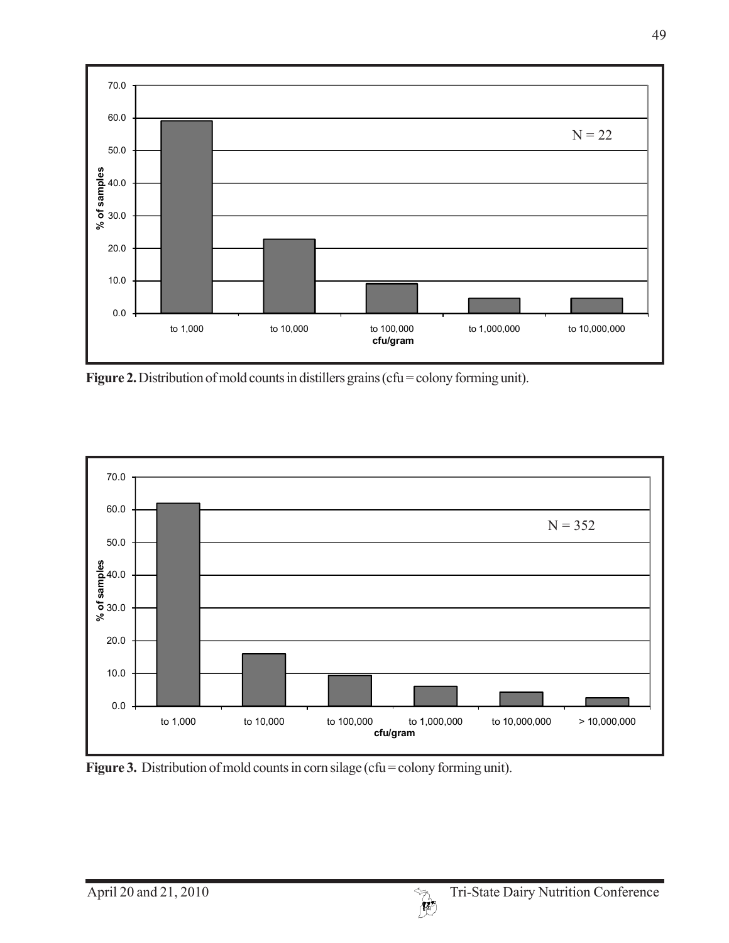

Figure 2. Distribution of mold counts in distillers grains (cfu = colony forming unit).



Figure 3. Distribution of mold counts in corn silage (cfu = colony forming unit).